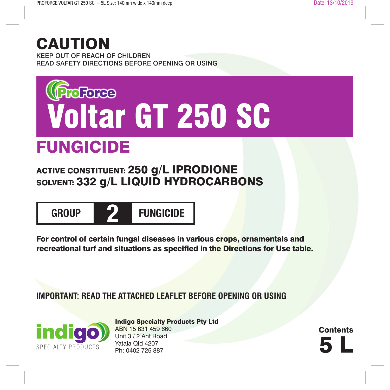# CAUTION

KEEP OUT OF REACH OF CHILDREN READ SAFETY DIRECTIONS BEFORE OPENING OR USING



# FUNGICIDE

**ACTIVE CONSTITUENT: 250 g/L IPRODIONE** SOLVENT: 332 g/L LIQUID HYDROCARBONS



For control of certain fungal diseases in various crops, ornamentals and recreational turf and situations as specified in the Directions for Use table.

**IMPORTANT: READ THE ATTACHED LEAFLET BEFORE OPENING OR USING**



Indigo Specialty Products Pty Ltd ABN 15 631 459 660 Unit 3 / 2 Ant Road Yatala Qld 4207<br>Ph: 0402 725 887 Unit 3 / 2 Ant Road<br>Yatala Qld 4207<br>Ph: 0402 725 887

**Contents**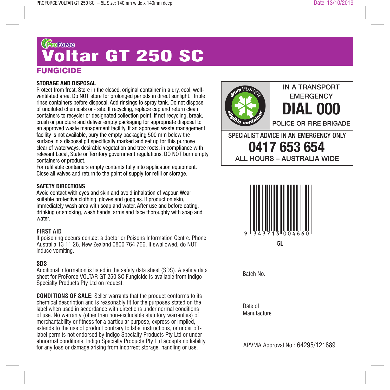# **FUNGICIDE** டுக<sub>ு</sub><br><mark>Voltar GT 250 SC</mark>

#### **STORAGE AND DISPOSAL**

Protect from frost. Store in the closed, original container in a dry, cool, wellventilated area. Do NOT store for prolonged periods in direct sunlight. Triple rinse containers before disposal. Add rinsings to spray tank. Do not dispose of undiluted chemicals on- site. If recycling, replace cap and return clean containers to recycler or designated collection point. If not recycling, break, crush or puncture and deliver empty packaging for appropriate disposal to an approved waste management facility. If an approved waste management facility is not available, bury the empty packaging 500 mm below the surface in a disposal pit specifically marked and set up for this purpose clear of waterways, desirable vegetation and tree roots, in compliance with relevant Local, State or Territory government regulations. DO NOT burn empty containers or product.

For refillable containers empty contents fully into application equipment. Close all valves and return to the point of supply for refill or storage.

#### **SAFETY DIRECTIONS**

Avoid contact with eyes and skin and avoid inhalation of vapour. Wear suitable protective clothing, gloves and goggles. If product on skin, immediately wash area with soap and water. After use and before eating, drinking or smoking, wash hands, arms and face thoroughly with soap and water.

#### **FIRST AID**

If poisoning occurs contact a doctor or Poisons Information Centre. Phone Australia 13 11 26, New Zealand 0800 764 766. If swallowed, do NOT induce vomiting.

#### **SDS**

Additional information is listed in the safety data sheet (SDS). A safety data sheet for ProForce VOLTAR GT 250 SC Fungicide is available from Indigo Specialty Products Pty Ltd on request.

**CONDITIONS OF SALE:** Seller warrants that the product conforms to its chemical description and is reasonably fit for the purposes stated on the label when used in accordance with directions under normal conditions of use. No warranty (other than non-excludable statutory warranties) of merchantability or fitness for a particular purpose, express or implied, extends to the use of product contrary to label instructions, or under offlabel permits not endorsed by Indigo Specialty Products Pty Ltd or under abnormal conditions. Indigo Specialty Products Pty Ltd accepts no liability for any loss or damage arising from incorrect storage, handling or use.





Batch No.

Date of **Manufacture** 

APVMA Approval No.: 64295/121689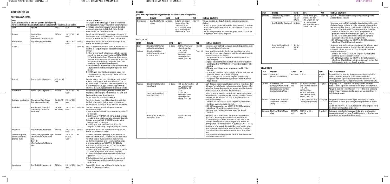# **DIRECTIONS FOR USE**

 $\overline{\phantom{a}}$ 

. . . . . . . .

 $\sim$ 

# **TREE AND VINE CROPS**

| <b>RATE</b>                                                       | In the following table, all rates are given for dilute spraying.<br>For concentrate spraying, refer to the Special Instructions for Tree Crops/Vines section. | <b>CRITICAL COMMENTS</b><br>For all uses in this table: Apply by dilute or concentrate<br>spraying equipment. Apply the same total amount of product |                                |             |                                                                                                                                                                                                                                                                                                                                                                                                                                                                                                                                                                                                                                                                                                                                                                                               |
|-------------------------------------------------------------------|---------------------------------------------------------------------------------------------------------------------------------------------------------------|------------------------------------------------------------------------------------------------------------------------------------------------------|--------------------------------|-------------|-----------------------------------------------------------------------------------------------------------------------------------------------------------------------------------------------------------------------------------------------------------------------------------------------------------------------------------------------------------------------------------------------------------------------------------------------------------------------------------------------------------------------------------------------------------------------------------------------------------------------------------------------------------------------------------------------------------------------------------------------------------------------------------------------|
| <b>CROP</b>                                                       | <b>DISEASE</b>                                                                                                                                                | <b>STATE</b>                                                                                                                                         | <b>RATE</b>                    | <b>WHP</b>  | to the target crop whether applying this product by dilute<br>or concentrate spraying methods. Refer to the Special<br>Instructions for Tree Crops/Vines section.                                                                                                                                                                                                                                                                                                                                                                                                                                                                                                                                                                                                                             |
| Almonds                                                           | <b>Blossom Blight.</b><br><b>Brown Rot</b><br>(Monilinia spp., Sclerotinia spp.)                                                                              | <b>All States</b>                                                                                                                                    | 100 mL/100 L<br>water          | Nil         | Apply first at full bloom and, if conditions are favourable for<br>disease development, up to two subsequent applications can<br>be made; at petal fall and up to four weeks after petal fall.                                                                                                                                                                                                                                                                                                                                                                                                                                                                                                                                                                                                |
| <b>Boysenberries</b>                                              | Grey Mould (Botrytis cinerea)                                                                                                                                 |                                                                                                                                                      | 200 mL/100 L<br>water          | 1 day $(H)$ | Spray at 10% blossom and full bloom. For fruit protection,<br>apply at 2 to 3 weeks pre-harvest.                                                                                                                                                                                                                                                                                                                                                                                                                                                                                                                                                                                                                                                                                              |
| Grapes                                                            |                                                                                                                                                               |                                                                                                                                                      |                                | 7 days (H)  | Good crop hygiene will aid in the control of disease. This use<br>is subject to a CropLife fungicide resistance management<br>strategy:<br>1. If three or fewer bunch rot sprays are applied in a season<br>use only one spray per season containing VOLTAR GT 250<br>SC Fungicide (or other Group 2 Fungicide). If four or more<br>bunch rot sprays are applied in a season use no more than<br>two sprays containing Group 2 fungicides, unless tank<br>mixed with a registered multi-site fungicide.<br>2. Late season fungicide treatments should be applied before<br>botrytis infection reaches unacceptably high levels in the<br>vineyard.<br>3. DO NOT apply more than two consecutive sprays from<br>the same fungicide group, including from the end of one<br>season to the next. |
| Kiwifruit                                                         | Botrytis Blight (Botrytis spp.)                                                                                                                               | NSW, Vic, WA<br>only                                                                                                                                 |                                |             | Apply the spray to vines every 10 to 14 days ensuring that<br>all fruit is thoroughly wet. Apply 3 applications at 10 to 14<br>day intervals from 10% bloom to petal fall for protection of<br>flowers and young fruit. Apply a further 2 applications of<br>VOLTAR GT 250 SC Fungicide to control late season Botrytis.                                                                                                                                                                                                                                                                                                                                                                                                                                                                      |
| <b>Macadamias</b>                                                 | Botrytis Blight ( <i>Botrytis</i> spp.)                                                                                                                       | <b>All States</b>                                                                                                                                    | 100 mL/100 L<br>water          | Nil         | Apply as a thorough cover spray to flower racemes when<br>they open. A follow up spray may be needed one week later<br>if wet conditions persist during flowering.<br>Remove nuts under trees prior to spraying.                                                                                                                                                                                                                                                                                                                                                                                                                                                                                                                                                                              |
| Mandarins (non-bearing)                                           | Alternaria Leaf Spot (Brown<br>Spot) (Alternaria alternate)                                                                                                   | Qld, WA, NT<br>only                                                                                                                                  | 200 mL/100 L<br>water          |             | Apply to non-bearing trees of Murcott variety monthly from<br>first flush in Spring until flushing ceases in the autumn.<br>Reduce intervals to fortnightly during periods of wet weather.                                                                                                                                                                                                                                                                                                                                                                                                                                                                                                                                                                                                    |
| Passionfruit                                                      | Alternata Spot (Brown Spot)<br>(Alternaria spp., Alternaria<br>passiflorae)                                                                                   | Qld, NSW,<br>WA, NT only                                                                                                                             | 200 mL/100 L<br>water          | 7 days (H)  | This use is subject to a CropLife fungicide resistance<br>management strategy:<br>1. Maintain a protective cover with protectant fungicide such<br>as mancozeb.<br>2. Limit the use of VOLTAR GT 250 SC Fungicide to strategic<br>periods, i.e. before, during and after extended wet periods.<br>3. Always tank mix VOLTAR GT 250 SC Fungicide with a<br>protectant such as mancozeb.<br>4. DO NOT apply more than four VOLTAR GT 250 SC<br>Fungicide (or other Group 2 fungicide) sprays in a season.                                                                                                                                                                                                                                                                                       |
| Raspberries                                                       | Grey Mould (Botrytis cinerea)                                                                                                                                 | <b>All States</b>                                                                                                                                    | 200 mL/100 L<br>water          | 1 day $(H)$ | Spray at 10% blossom and full bloom. For fruit protection,<br>apply at 2 to 3 weeks pre-harvest.                                                                                                                                                                                                                                                                                                                                                                                                                                                                                                                                                                                                                                                                                              |
| Stone Fruit: Apricots,<br>cherries, nectarines,<br>peaches, plums | Orchard Spraying Blossom Blight<br>(Monilinia fructicola, Moniliinia<br>laxa)<br><b>Brown Rot</b><br>(Monilinia fructicola, Moniliinia<br>laxa)               | <b>All States</b>                                                                                                                                    | 100 to 150<br>mL/100L<br>water | Nil         | For control of Blossom Blight, spray at 10% blossom, full<br>bloom and petal/shuck fall. For control of subsequent Brown<br>Rot in fruit, spray at 3 weeks and 1 week pre-harvest.<br>Use the higher rate under severe conditions of challenge,<br>or for single applications of VOLTAR GT 250 SC in the<br>spray program. This use is subject to a CropLife fungicide<br>resistance management strategy:<br>1. DO NOT apply more than 2 consecutive sprays of VOLTAR<br>GT 250 SC Fungicide (or other Group 2 fungicides).<br>2. A post-harvest treatment should also be counted as an<br>application.<br>3. The last blossom blight spray and the first pre-harvest<br>Brown Rot spray should be regarded as consecutive<br>applications.                                                   |
| Youngberries                                                      | Grey Mould (Botrytis cinerea)                                                                                                                                 | <b>All States</b>                                                                                                                                    | 200 mL/100 L<br>water          | 1 day $(H)$ | Spray at 10% blossom and full bloom. For fruit protection,<br>apply at 2 to 3 weeks pre-harvest.                                                                                                                                                                                                                                                                                                                                                                                                                                                                                                                                                                                                                                                                                              |
|                                                                   |                                                                                                                                                               |                                                                                                                                                      |                                |             |                                                                                                                                                                                                                                                                                                                                                                                                                                                                                                                                                                                                                                                                                                                                                                                               |

#### **BERRIES**

| <b>CROP</b> | <b>DISEASE</b>                                                                                                                                       | <b>STATE</b>      | <b>RATE</b>                                                                                                                                                   | <b>WHP</b>  | <b>CRITICAL COMMENTS</b>                                                                                                                                                                                                                                                                                                                                                                                                                                                                                                                                                                                                                                                                                                                                                             |  |  |
|-------------|------------------------------------------------------------------------------------------------------------------------------------------------------|-------------------|---------------------------------------------------------------------------------------------------------------------------------------------------------------|-------------|--------------------------------------------------------------------------------------------------------------------------------------------------------------------------------------------------------------------------------------------------------------------------------------------------------------------------------------------------------------------------------------------------------------------------------------------------------------------------------------------------------------------------------------------------------------------------------------------------------------------------------------------------------------------------------------------------------------------------------------------------------------------------------------|--|--|
| Celery      | Sclerotinia Rot (Pink Rot)<br>(Sclerotinia sclerotiorum)                                                                                             | <b>All States</b> | 2.0 L/ha where Spray<br>volume is less than                                                                                                                   | 1 day $(H)$ | Commence spraying 1 to 2 weeks post-transplanting and then every<br>2 to 3 weeks. Use only five sprays.                                                                                                                                                                                                                                                                                                                                                                                                                                                                                                                                                                                                                                                                              |  |  |
| Lettuces    | 1000 L/ha OR<br>Sclerotinia Rot (Drop)<br>200 mL/100 L<br>(Sclerotinia scleromtiorum,<br>water where spray<br>Sclerotinia minor)<br>volume equals or |                   | exceeds 1000 L/ha                                                                                                                                             | 7 days (H)  | Spray should be directed to the stems at ground level and to the<br>underside of lower leaves. This use is subject to a CropLife fungicide<br>resistance management strategy:<br>1. Apply VOLTAR GT 250 SC Fungicide as a seedling drench soon<br>after emergence.<br>2. Apply a protectant fungicide as a high volume foliar spray before<br>planting out, then VOLTAR GT 250 SC Fungicide immediately after<br>planting.<br>3. Maintain cover with protectant fungicide sprays at 7-10 day<br>intervals.<br>4. If weather conditions favour Botrytis infection, tank mix the<br>protectant with VOLTAR GT 250 SC Fungicide.<br>5. DO NOT apply VOLTAR GT 250 SC Fungicide (or other Group 2<br>Fungicides) more than four times per season, irrespective of the<br>target disease. |  |  |
| Potatoes    | Sclerotinia Rot (Sclerotinia<br>sclerotiorum)                                                                                                        | <b>All States</b> | 1.0 L to 2.0 L/ ha where<br>spray volume is less<br>than 1000 L/ha OR<br>100 to<br>200 mL/100 L<br>water where spray<br>volume equals or<br>exceeds 1000 L/ha | Nil         | Apply 2 sprays, once immediately before and once immediately after<br>hilling-up. For most effective treatment, concentrate the spray at the<br>base of the stems and surrounding soil surface, where the fungus is<br>active. Use the higher rate where disease is severe.                                                                                                                                                                                                                                                                                                                                                                                                                                                                                                          |  |  |
|             | <b>Target Spot (Early Blight)</b><br>(Alternaria solani)                                                                                             |                   |                                                                                                                                                               |             | Ensure thorough coverage to the whole plant. Treatment is generally<br>not required until after flowering. Use the higher rate where disease<br>is severe. This use is subject to a CropLife fungicide resistance<br>management strategy:<br>1. Limit the use of VOLTAR GT 250 SC Fungicide to periods when<br>conditions favour disease development.<br>2. DO NOT apply more than four VOLTAR GT 250 SC Fungicide (or<br>other Group 2 fungicide) sprays in one season.<br>3. Apply no more than two consecutive sprays of a Group 2<br>fungicide.                                                                                                                                                                                                                                  |  |  |
|             | <b>Hypocotyl Rot (Black Scurf)</b><br>(Rhizoctonia solani)                                                                                           |                   | 800 mL/tonne seed<br>material                                                                                                                                 |             | VOLTAR GT 250 SC Fungicide will protect emerging shoots from<br>hypocotyl rot, improving overall germination. VOLTAR GT 250<br>SC Fungicide may also reduce occurrence of black scurf on the<br>harvested potatoes. Ensure good coverage of seed material and<br>planting furrow. This can be achieved by applying VOLTAR GT 250 SC<br>Fungicide as a fine spray to the seed at the time of planting using<br>spray equipment mounted on the planter, and nozzles located at<br>three points on each planter row to ensure uniform coating of the<br>seed.<br>DO NOT plant into waterlogged soil. A minimum water volume of 80<br>L/tonne seed should be used.                                                                                                                       |  |  |

 $\overline{\phantom{a}}$ 

 $1.1.1.1.1.$ 

 $\sim$ 

| <b>BERRIES</b>                   |                                                                                                                                                                          |              |                                                                                                                                        |                                                                                                                                                                                                                                                                                                                                                                                                               |                                                                                                                                                                                                                                                                                                                                                                    | <b>CROP</b> | <b>DISEASE</b>                                           | <b>STATE</b>                 | <b>RATE</b>                                                                                                                             | <b>WHP</b>                                                                                                                                                                                                                                                                                                               | <b>CRITICAL COMMENTS</b>                                                                                                                                                                                                                                                                                                                                                                                                                                                                                                                 |
|----------------------------------|--------------------------------------------------------------------------------------------------------------------------------------------------------------------------|--------------|----------------------------------------------------------------------------------------------------------------------------------------|---------------------------------------------------------------------------------------------------------------------------------------------------------------------------------------------------------------------------------------------------------------------------------------------------------------------------------------------------------------------------------------------------------------|--------------------------------------------------------------------------------------------------------------------------------------------------------------------------------------------------------------------------------------------------------------------------------------------------------------------------------------------------------------------|-------------|----------------------------------------------------------|------------------------------|-----------------------------------------------------------------------------------------------------------------------------------------|--------------------------------------------------------------------------------------------------------------------------------------------------------------------------------------------------------------------------------------------------------------------------------------------------------------------------|------------------------------------------------------------------------------------------------------------------------------------------------------------------------------------------------------------------------------------------------------------------------------------------------------------------------------------------------------------------------------------------------------------------------------------------------------------------------------------------------------------------------------------------|
|                                  | (See Tree Crops/Vines for boysenberries, raspberries and youngberries)                                                                                                   |              |                                                                                                                                        |                                                                                                                                                                                                                                                                                                                                                                                                               |                                                                                                                                                                                                                                                                                                                                                                    | Tomatoes    | Sclerotinia Rot (Sclerotinia                             | Qld. NSW.                    |                                                                                                                                         | 7 days (H)                                                                                                                                                                                                                                                                                                               | Spray at 14-day intervals from transplanting and throughout the                                                                                                                                                                                                                                                                                                                                                                                                                                                                          |
| <b>CROP</b>                      | <b>DISEASE</b>                                                                                                                                                           | <b>STATE</b> | <b>RATE</b>                                                                                                                            | <b>WHP</b>                                                                                                                                                                                                                                                                                                                                                                                                    | <b>CRITICAL COMMENTS</b>                                                                                                                                                                                                                                                                                                                                           |             | sclerotiorum)<br>Grey Mould (Botrytis cinerea)           | Tas, SA,                     | 2.0 L/ha where spray<br>volume is less than<br>1000 L/ha OR 200 mL/<br>100 L water where<br>spray volume equals or<br>exceeds 1000 L/ha |                                                                                                                                                                                                                                                                                                                          | period of disease pressure                                                                                                                                                                                                                                                                                                                                                                                                                                                                                                               |
| Strawberries                     | Grey Mould (Botrytis   All States<br>cinerea)                                                                                                                            |              | 2.0 L/ha where spray<br>volume is less than<br>1000 L/ha OR 200<br>mL/100 L water where<br>spray volume equals<br>or exceeds 1000 L/ha | 1 day $(H)$                                                                                                                                                                                                                                                                                                                                                                                                   | This use is subject to a CropLife fungicide resistance management<br>strategy:<br>. Apply a program of protectant fungicides during flowering. If conditions<br>favour disease development during this period use VOLTAR GT 250 SC<br>Fungicide.<br>2. DO NOT apply more than two successive sprays of VOLTAR GT 250 SC<br>Fungicide (or other Group 2 Fungicide). |             |                                                          | WA only<br><b>All States</b> |                                                                                                                                         |                                                                                                                                                                                                                                                                                                                          | Commence spraying 3 to 4 weeks after transplanting or at the onset<br>of disease. Repeat treatment at 14-day intervals or when conditions<br>favour spread of the disease, i.e. at trimming or deleafing. This use is<br>subject to a CropLife fungicide resistance management strategy:<br>1. Alternate or tank mix VOLTAR GT 250 SC Fungicide with a<br>protectant such as chlorothalonil. Avoid applying two VOLTAR<br>GT 250 SC Fungicide (or other Group 2 fungicide) sprays in<br>succession, unless tank mixed with a protectant. |
| <b>VEGETABLES</b><br><b>CROP</b> | DISEASE                                                                                                                                                                  | <b>STATE</b> | <b>RATE</b>                                                                                                                            | <b>WHP</b>                                                                                                                                                                                                                                                                                                                                                                                                    | <b>CRITICAL COMMENTS</b>                                                                                                                                                                                                                                                                                                                                           |             |                                                          |                              |                                                                                                                                         |                                                                                                                                                                                                                                                                                                                          | 2. DO NOT apply more than four VOLTAR GT 250 SC Fungicide (or<br>other Group 2 fungicide) sprays in a season.                                                                                                                                                                                                                                                                                                                                                                                                                            |
| Celery                           | Sclerotinia Rot (Pink Rot)<br>(Sclerotinia sclerotiorum)                                                                                                                 | All States   | 2.0 L/ha where Spray<br>volume is less than                                                                                            | 1 day (H)                                                                                                                                                                                                                                                                                                                                                                                                     | Commence spraying 1 to 2 weeks post-transplanting and then every<br>2 to 3 weeks. Use only five sprays.                                                                                                                                                                                                                                                            |             | <b>Target Spot (Early Blight)</b><br>(Alternaria solani) | Qld, Tas,<br>WA. NT          |                                                                                                                                         |                                                                                                                                                                                                                                                                                                                          | Commence spraying 1 week post-transplanting. Use adequate water<br>to give thorough coverage of the plants. Use high volume spray<br>equipment. This use is subject to a CropLife fungicide resistance                                                                                                                                                                                                                                                                                                                                   |
| Lettuces                         | 1000 L/ha OR<br>Sclerotinia Rot (Drop)<br>200 mL/100 L<br>(Sclerotinia scleromtiorum.<br>water where spray<br>Sclerotinia minor<br>volume equals or<br>exceeds 1000 L/ha |              | 7 days (H)                                                                                                                             | Spray should be directed to the stems at ground level and to the<br>underside of lower leaves. This use is subject to a CropLife fungicide<br>resistance management strategy:<br>1. Apply VOLTAR GT 250 SC Fungicide as a seedling drench soon<br>after emergence.<br>2. Apply a protectant fungicide as a high volume foliar spray before<br>planting out, then VOLTAR GT 250 SC Fungicide immediately after |                                                                                                                                                                                                                                                                                                                                                                    |             |                                                          |                              |                                                                                                                                         | management strategy:<br>1. Limit the use of VOLTAR GT 250 SC Fungicide to periods when<br>conditions favour disease development.<br>2. DO NOT apply more than four VOLTAR GT 250 SC Fungicide (or<br>other Group 2 fungicide) sprays in one season. Apply no more than<br>two consecutive sprays of a Group 2 fungicide. |                                                                                                                                                                                                                                                                                                                                                                                                                                                                                                                                          |

# **FIELD CROPS**

| <b>CROP</b> | <b>DISEASE</b>                                                     | <b>STATE</b>    | <b>RATE</b>                                                                                                                                                 | <b>WHP</b>        | <b>CRITICAL COMMENTS</b>                                                                                                                                                                                                                                                         |  |  |
|-------------|--------------------------------------------------------------------|-----------------|-------------------------------------------------------------------------------------------------------------------------------------------------------------|-------------------|----------------------------------------------------------------------------------------------------------------------------------------------------------------------------------------------------------------------------------------------------------------------------------|--|--|
| Canola      | Sclerotinia<br>(Sclerotinia sclerotiorum)                          | All States      | $2.0$ L/ha                                                                                                                                                  | 6 weeks<br>(H, G) | Apply at 20 to 50% flowering. Apply as a preventative spray before<br>disease infection is anticipated. Good coverage is essential.<br>Aerial application: Apply using a minimum water volume of 45 L/ha.<br>Ground application: Apply using a minimum water volume of 100 L/ha. |  |  |
| Lucerne     | Lucerne Leaf Spot<br>(Stemphylium botryosum)                       | Qld, WA<br>only | 500 mL to 1 L/ha where<br>spray volume is less than<br>1000 L/ha<br>OR 50 to 100 mL<br>per 100 L water where<br>spray volume equals or<br>exceeds 1000 L/ha | $7$ days $(G)$    | Spray every 10 to 14 days when cool, damp weather favours the<br>disease. Use the higher rate under conditions of high disease pressure.                                                                                                                                         |  |  |
|             | Leptosphaerulina Leaf Spot<br>(Leptosphaerulina trifolii)          |                 |                                                                                                                                                             |                   | Apply in at least 300 L water/ha every 10 to 14 days when cold, damp<br>weather favours the disease. Use the higher rate under conditions of<br>high disease pressure.                                                                                                           |  |  |
| Peanuts     | Sclerotinia Rot (Sclerotinia<br>sclerotiorum, Sclerotinia<br>minon |                 | 2.0 L/ha OR 440 mL/100<br>12 days $(H)$<br>L water (spot application)                                                                                       |                   | Apply when disease first appears. Repeat if necessary. Use a high<br>water volume to ensure good coverage of foliage and stem at ground<br>level.<br>DO NOT mix VOLTAR GT 250 SC Fungicide with a foliar fungicide due to<br>the different target positions on the plant.        |  |  |
| Soybeans    | <b>Black Leaf Blight (Arkoola</b><br>nigra)                        | NSW. WA<br>only | 2.0 L/200 to 400 L<br>water/ha                                                                                                                              | 7 weeks (H)       | If disease is present on leaves apply an initial spray at early pod set<br>(pods approximately 5 mm long). An additional spray 14 days later may<br>be required if wet seasonal conditions prevail.                                                                              |  |  |